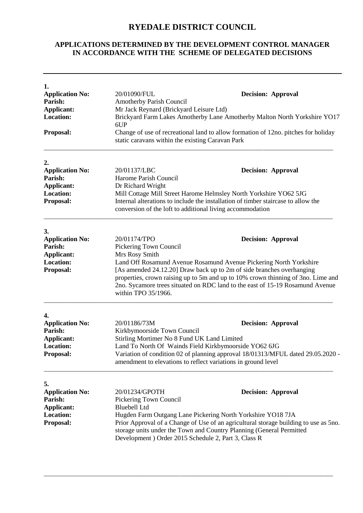## **RYEDALE DISTRICT COUNCIL**

## **APPLICATIONS DETERMINED BY THE DEVELOPMENT CONTROL MANAGER IN ACCORDANCE WITH THE SCHEME OF DELEGATED DECISIONS**

| 1.<br><b>Application No:</b><br>Parish:<br><b>Applicant:</b><br><b>Location:</b><br>Proposal:                                                                                                                                                                                                                                                                                                                   | 20/01090/FUL<br><b>Decision: Approval</b><br><b>Amotherby Parish Council</b><br>Mr Jack Reynard (Brickyard Leisure Ltd)<br>Brickyard Farm Lakes Amotherby Lane Amotherby Malton North Yorkshire YO17<br>6UP<br>Change of use of recreational land to allow formation of 12no. pitches for holiday<br>static caravans within the existing Caravan Park |                                                                                                                                                                                                                                                                                                                                               |  |  |
|-----------------------------------------------------------------------------------------------------------------------------------------------------------------------------------------------------------------------------------------------------------------------------------------------------------------------------------------------------------------------------------------------------------------|-------------------------------------------------------------------------------------------------------------------------------------------------------------------------------------------------------------------------------------------------------------------------------------------------------------------------------------------------------|-----------------------------------------------------------------------------------------------------------------------------------------------------------------------------------------------------------------------------------------------------------------------------------------------------------------------------------------------|--|--|
| 2.<br><b>Application No:</b><br>Parish:<br>Applicant:<br><b>Location:</b><br>Proposal:                                                                                                                                                                                                                                                                                                                          | 20/01137/LBC<br>Harome Parish Council<br>Dr Richard Wright                                                                                                                                                                                                                                                                                            | <b>Decision: Approval</b><br>Mill Cottage Mill Street Harome Helmsley North Yorkshire YO62 5JG<br>Internal alterations to include the installation of timber staircase to allow the<br>conversion of the loft to additional living accommodation                                                                                              |  |  |
| 3.<br><b>Application No:</b><br>Parish:<br><b>Applicant:</b><br><b>Location:</b><br>Proposal:                                                                                                                                                                                                                                                                                                                   | 20/01174/TPO<br>Pickering Town Council<br>Mrs Rosy Smith<br>within TPO 35/1966.                                                                                                                                                                                                                                                                       | <b>Decision: Approval</b><br>Land Off Rosamund Avenue Rosamund Avenue Pickering North Yorkshire<br>[As amended 24.12.20] Draw back up to 2m of side branches overhanging<br>properties, crown raising up to 5m and up to 10% crown thinning of 3no. Lime and<br>2no. Sycamore trees situated on RDC land to the east of 15-19 Rosamund Avenue |  |  |
| 4.<br><b>Application No:</b><br>20/01186/73M<br>Parish:<br>Kirkbymoorside Town Council<br><b>Applicant:</b><br>Stirling Mortimer No 8 Fund UK Land Limited<br><b>Location:</b><br>Land To North Of Wainds Field Kirkbymoorside YO62 6JG<br>Variation of condition 02 of planning approval 18/01313/MFUL dated 29.05.2020 -<br><b>Proposal:</b><br>amendment to elevations to reflect variations in ground level |                                                                                                                                                                                                                                                                                                                                                       | <b>Decision: Approval</b>                                                                                                                                                                                                                                                                                                                     |  |  |
| 5.<br><b>Application No:</b><br>Parish:<br>Applicant:<br><b>Location:</b><br>Proposal:                                                                                                                                                                                                                                                                                                                          | 20/01234/GPOTH<br>Pickering Town Council<br><b>Bluebell Ltd</b>                                                                                                                                                                                                                                                                                       | <b>Decision: Approval</b><br>Hugden Farm Outgang Lane Pickering North Yorkshire YO18 7JA<br>Prior Approval of a Change of Use of an agricultural storage building to use as 5no.<br>storage units under the Town and Country Planning (General Permitted<br>Development) Order 2015 Schedule 2, Part 3, Class R                               |  |  |

\_\_\_\_\_\_\_\_\_\_\_\_\_\_\_\_\_\_\_\_\_\_\_\_\_\_\_\_\_\_\_\_\_\_\_\_\_\_\_\_\_\_\_\_\_\_\_\_\_\_\_\_\_\_\_\_\_\_\_\_\_\_\_\_\_\_\_\_\_\_\_\_\_\_\_\_\_\_\_\_\_\_\_\_\_\_\_\_\_\_\_\_\_\_\_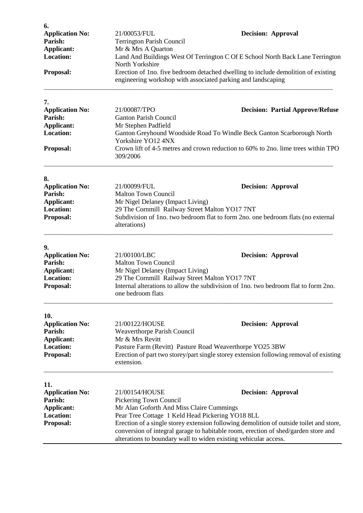| 6.                                                                                            |                                                                                                                                                                                                                                                                                                       |                                                                                       |  |
|-----------------------------------------------------------------------------------------------|-------------------------------------------------------------------------------------------------------------------------------------------------------------------------------------------------------------------------------------------------------------------------------------------------------|---------------------------------------------------------------------------------------|--|
| <b>Application No:</b>                                                                        | 21/00053/FUL                                                                                                                                                                                                                                                                                          | <b>Decision: Approval</b>                                                             |  |
| Parish:                                                                                       | <b>Terrington Parish Council</b>                                                                                                                                                                                                                                                                      |                                                                                       |  |
| Applicant:                                                                                    | Mr & Mrs A Quarton                                                                                                                                                                                                                                                                                    |                                                                                       |  |
| <b>Location:</b>                                                                              | Land And Buildings West Of Terrington C Of E School North Back Lane Terrington<br>North Yorkshire                                                                                                                                                                                                     |                                                                                       |  |
| <b>Proposal:</b>                                                                              | Erection of 1no. five bedroom detached dwelling to include demolition of existing<br>engineering workshop with associated parking and landscaping                                                                                                                                                     |                                                                                       |  |
| 7.                                                                                            |                                                                                                                                                                                                                                                                                                       |                                                                                       |  |
| <b>Application No:</b>                                                                        | 21/00087/TPO                                                                                                                                                                                                                                                                                          | <b>Decision: Partial Approve/Refuse</b>                                               |  |
| Parish:                                                                                       | <b>Ganton Parish Council</b>                                                                                                                                                                                                                                                                          |                                                                                       |  |
| <b>Applicant:</b>                                                                             | Mr Stephen Padfield                                                                                                                                                                                                                                                                                   |                                                                                       |  |
| <b>Location:</b>                                                                              |                                                                                                                                                                                                                                                                                                       | Ganton Greyhound Woodside Road To Windle Beck Ganton Scarborough North                |  |
|                                                                                               | Yorkshire YO12 4NX                                                                                                                                                                                                                                                                                    |                                                                                       |  |
| Proposal:                                                                                     | Crown lift of 4-5 metres and crown reduction to 60% to 2no. lime trees within TPO<br>309/2006                                                                                                                                                                                                         |                                                                                       |  |
| 8.                                                                                            |                                                                                                                                                                                                                                                                                                       |                                                                                       |  |
| <b>Application No:</b>                                                                        | 21/00099/FUL                                                                                                                                                                                                                                                                                          | <b>Decision: Approval</b>                                                             |  |
| Parish:                                                                                       | <b>Malton Town Council</b>                                                                                                                                                                                                                                                                            |                                                                                       |  |
| <b>Applicant:</b>                                                                             | Mr Nigel Delaney (Impact Living)                                                                                                                                                                                                                                                                      |                                                                                       |  |
| <b>Location:</b>                                                                              | 29 The Cornmill Railway Street Malton YO17 7NT                                                                                                                                                                                                                                                        |                                                                                       |  |
| Subdivision of 1no. two bedroom flat to form 2no. one bedroom flats (no external<br>Proposal: |                                                                                                                                                                                                                                                                                                       |                                                                                       |  |
|                                                                                               | alterations)                                                                                                                                                                                                                                                                                          |                                                                                       |  |
| 9.                                                                                            |                                                                                                                                                                                                                                                                                                       |                                                                                       |  |
| <b>Application No:</b>                                                                        | 21/00100/LBC                                                                                                                                                                                                                                                                                          | <b>Decision: Approval</b>                                                             |  |
| Parish:                                                                                       | <b>Malton Town Council</b>                                                                                                                                                                                                                                                                            |                                                                                       |  |
| Applicant:                                                                                    | Mr Nigel Delaney (Impact Living)                                                                                                                                                                                                                                                                      |                                                                                       |  |
| <b>Location:</b>                                                                              | 29 The Cornmill Railway Street Malton YO17 7NT                                                                                                                                                                                                                                                        |                                                                                       |  |
| Proposal:                                                                                     |                                                                                                                                                                                                                                                                                                       | Internal alterations to allow the subdivision of 1 no. two bedroom flat to form 2 no. |  |
|                                                                                               | one bedroom flats                                                                                                                                                                                                                                                                                     |                                                                                       |  |
| 10.                                                                                           |                                                                                                                                                                                                                                                                                                       |                                                                                       |  |
| <b>Application No:</b>                                                                        | 21/00122/HOUSE                                                                                                                                                                                                                                                                                        | <b>Decision: Approval</b>                                                             |  |
| Parish:                                                                                       | <b>Weaverthorpe Parish Council</b>                                                                                                                                                                                                                                                                    |                                                                                       |  |
| <b>Applicant:</b>                                                                             | Mr & Mrs Revitt                                                                                                                                                                                                                                                                                       |                                                                                       |  |
| <b>Location:</b>                                                                              | Pasture Farm (Revitt) Pasture Road Weaverthorpe YO25 3BW                                                                                                                                                                                                                                              |                                                                                       |  |
| Proposal:                                                                                     | Erection of part two storey/part single storey extension following removal of existing<br>extension.                                                                                                                                                                                                  |                                                                                       |  |
| 11.                                                                                           |                                                                                                                                                                                                                                                                                                       |                                                                                       |  |
| <b>Application No:</b>                                                                        | 21/00154/HOUSE                                                                                                                                                                                                                                                                                        | <b>Decision: Approval</b>                                                             |  |
| Parish:                                                                                       | Pickering Town Council                                                                                                                                                                                                                                                                                |                                                                                       |  |
| <b>Applicant:</b>                                                                             |                                                                                                                                                                                                                                                                                                       |                                                                                       |  |
| <b>Location:</b>                                                                              | Mr Alan Goforth And Miss Claire Cummings                                                                                                                                                                                                                                                              |                                                                                       |  |
| Proposal:                                                                                     | Pear Tree Cottage 1 Keld Head Pickering YO18 8LL<br>Erection of a single storey extension following demolition of outside toilet and store,<br>conversion of integral garage to habitable room, erection of shed/garden store and<br>alterations to boundary wall to widen existing vehicular access. |                                                                                       |  |
|                                                                                               |                                                                                                                                                                                                                                                                                                       |                                                                                       |  |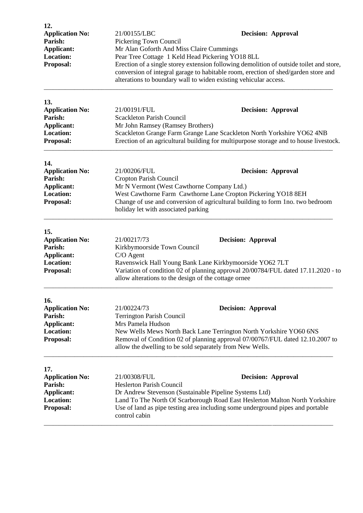| 12.<br><b>Application No:</b><br>Parish:<br>Applicant:<br><b>Location:</b><br>Proposal:        | <b>Decision: Approval</b><br>21/00155/LBC<br>Pickering Town Council<br>Mr Alan Goforth And Miss Claire Cummings<br>Pear Tree Cottage 1 Keld Head Pickering YO18 8LL<br>Erection of a single storey extension following demolition of outside toilet and store,<br>conversion of integral garage to habitable room, erection of shed/garden store and<br>alterations to boundary wall to widen existing vehicular access. |  |
|------------------------------------------------------------------------------------------------|--------------------------------------------------------------------------------------------------------------------------------------------------------------------------------------------------------------------------------------------------------------------------------------------------------------------------------------------------------------------------------------------------------------------------|--|
| 13.<br><b>Application No:</b><br>Parish:<br><b>Applicant:</b><br><b>Location:</b><br>Proposal: | 21/00191/FUL<br><b>Decision: Approval</b><br><b>Scackleton Parish Council</b><br>Mr John Ramsey (Ramsey Brothers)<br>Scackleton Grange Farm Grange Lane Scackleton North Yorkshire YO62 4NB<br>Erection of an agricultural building for multipurpose storage and to house livestock.                                                                                                                                     |  |
| 14.<br><b>Application No:</b><br>Parish:<br><b>Applicant:</b><br><b>Location:</b><br>Proposal: | 21/00206/FUL<br><b>Decision: Approval</b><br>Cropton Parish Council<br>Mr N Vermont (West Cawthorne Company Ltd.)<br>West Cawthorne Farm Cawthorne Lane Cropton Pickering YO18 8EH<br>Change of use and conversion of agricultural building to form 1no. two bedroom<br>holiday let with associated parking                                                                                                              |  |
| 15.<br><b>Application No:</b><br>Parish:<br><b>Applicant:</b><br><b>Location:</b><br>Proposal: | 21/00217/73<br><b>Decision: Approval</b><br>Kirkbymoorside Town Council<br>C/O Agent<br>Ravenswick Hall Young Bank Lane Kirkbymoorside YO62 7LT<br>Variation of condition 02 of planning approval 20/00784/FUL dated 17.11.2020 - to<br>allow alterations to the design of the cottage ornee                                                                                                                             |  |
| 16.<br><b>Application No:</b><br>Parish:<br>Applicant:<br><b>Location:</b><br>Proposal:        | 21/00224/73<br><b>Decision: Approval</b><br><b>Terrington Parish Council</b><br>Mrs Pamela Hudson<br>New Wells Mews North Back Lane Terrington North Yorkshire YO60 6NS<br>Removal of Condition 02 of planning approval 07/00767/FUL dated 12.10.2007 to<br>allow the dwelling to be sold separately from New Wells.                                                                                                     |  |
| 17.<br><b>Application No:</b><br>Parish:<br><b>Applicant:</b><br><b>Location:</b><br>Proposal: | 21/00308/FUL<br><b>Decision: Approval</b><br><b>Heslerton Parish Council</b><br>Dr Andrew Stevenson (Sustainable Pipeline Systems Ltd)<br>Land To The North Of Scarborough Road East Heslerton Malton North Yorkshire<br>Use of land as pipe testing area including some underground pipes and portable<br>control cabin                                                                                                 |  |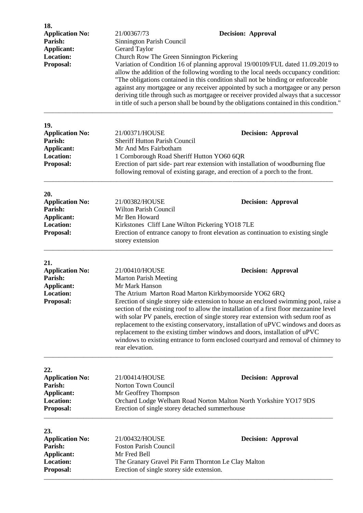| 18.<br><b>Application No:</b>     | 21/00367/73                                                                                                                                                                                                                                                                                                                                                                                                                                                                                                                                                                        | <b>Decision: Approval</b>                                                                                                                                                       |  |
|-----------------------------------|------------------------------------------------------------------------------------------------------------------------------------------------------------------------------------------------------------------------------------------------------------------------------------------------------------------------------------------------------------------------------------------------------------------------------------------------------------------------------------------------------------------------------------------------------------------------------------|---------------------------------------------------------------------------------------------------------------------------------------------------------------------------------|--|
| Parish:                           | Sinnington Parish Council                                                                                                                                                                                                                                                                                                                                                                                                                                                                                                                                                          |                                                                                                                                                                                 |  |
| Applicant:                        | Gerard Taylor                                                                                                                                                                                                                                                                                                                                                                                                                                                                                                                                                                      |                                                                                                                                                                                 |  |
| <b>Location:</b><br>Proposal:     | Church Row The Green Sinnington Pickering<br>Variation of Condition 16 of planning approval 19/00109/FUL dated 11.09.2019 to<br>allow the addition of the following wording to the local needs occupancy condition:<br>"The obligations contained in this condition shall not be binding or enforceable<br>against any mortgagee or any receiver appointed by such a mortgagee or any person<br>deriving title through such as mortgagee or receiver provided always that a successor<br>in title of such a person shall be bound by the obligations contained in this condition." |                                                                                                                                                                                 |  |
| 19.                               |                                                                                                                                                                                                                                                                                                                                                                                                                                                                                                                                                                                    |                                                                                                                                                                                 |  |
| <b>Application No:</b><br>Parish: | 21/00371/HOUSE<br><b>Sheriff Hutton Parish Council</b>                                                                                                                                                                                                                                                                                                                                                                                                                                                                                                                             | <b>Decision: Approval</b>                                                                                                                                                       |  |
| Applicant:                        | Mr And Mrs Fairbotham                                                                                                                                                                                                                                                                                                                                                                                                                                                                                                                                                              |                                                                                                                                                                                 |  |
| <b>Location:</b>                  | 1 Cornborough Road Sheriff Hutton YO60 6QR                                                                                                                                                                                                                                                                                                                                                                                                                                                                                                                                         |                                                                                                                                                                                 |  |
| Proposal:                         | Erection of part side- part rear extension with installation of woodburning flue<br>following removal of existing garage, and erection of a porch to the front.                                                                                                                                                                                                                                                                                                                                                                                                                    |                                                                                                                                                                                 |  |
| 20.                               |                                                                                                                                                                                                                                                                                                                                                                                                                                                                                                                                                                                    |                                                                                                                                                                                 |  |
| <b>Application No:</b>            | 21/00382/HOUSE                                                                                                                                                                                                                                                                                                                                                                                                                                                                                                                                                                     | <b>Decision: Approval</b>                                                                                                                                                       |  |
| Parish:                           | <b>Wilton Parish Council</b>                                                                                                                                                                                                                                                                                                                                                                                                                                                                                                                                                       |                                                                                                                                                                                 |  |
| Applicant:                        | Mr Ben Howard                                                                                                                                                                                                                                                                                                                                                                                                                                                                                                                                                                      |                                                                                                                                                                                 |  |
| <b>Location:</b><br>Proposal:     | Kirkstones Cliff Lane Wilton Pickering YO18 7LE                                                                                                                                                                                                                                                                                                                                                                                                                                                                                                                                    |                                                                                                                                                                                 |  |
|                                   | Erection of entrance canopy to front elevation as continuation to existing single<br>storey extension                                                                                                                                                                                                                                                                                                                                                                                                                                                                              |                                                                                                                                                                                 |  |
| 21.                               |                                                                                                                                                                                                                                                                                                                                                                                                                                                                                                                                                                                    |                                                                                                                                                                                 |  |
| <b>Application No:</b>            | 21/00410/HOUSE                                                                                                                                                                                                                                                                                                                                                                                                                                                                                                                                                                     | <b>Decision: Approval</b>                                                                                                                                                       |  |
| Parish:                           | <b>Marton Parish Meeting</b>                                                                                                                                                                                                                                                                                                                                                                                                                                                                                                                                                       |                                                                                                                                                                                 |  |
| Applicant:<br><b>Location:</b>    | Mr Mark Hanson                                                                                                                                                                                                                                                                                                                                                                                                                                                                                                                                                                     | The Atrium Marton Road Marton Kirkbymoorside YO62 6RQ                                                                                                                           |  |
| Proposal:                         |                                                                                                                                                                                                                                                                                                                                                                                                                                                                                                                                                                                    | Erection of single storey side extension to house an enclosed swimming pool, raise a<br>section of the existing roof to allow the installation of a first floor mezzanine level |  |
|                                   | with solar PV panels, erection of single storey rear extension with sedum roof as<br>replacement to the existing conservatory, installation of uPVC windows and doors as<br>replacement to the existing timber windows and doors, installation of uPVC<br>windows to existing entrance to form enclosed courtyard and removal of chimney to<br>rear elevation.                                                                                                                                                                                                                     |                                                                                                                                                                                 |  |
| 22.                               |                                                                                                                                                                                                                                                                                                                                                                                                                                                                                                                                                                                    |                                                                                                                                                                                 |  |
| <b>Application No:</b>            | 21/00414/HOUSE                                                                                                                                                                                                                                                                                                                                                                                                                                                                                                                                                                     | <b>Decision: Approval</b>                                                                                                                                                       |  |
| Parish:                           | Norton Town Council                                                                                                                                                                                                                                                                                                                                                                                                                                                                                                                                                                |                                                                                                                                                                                 |  |
| Applicant:                        | Mr Geoffrey Thompson                                                                                                                                                                                                                                                                                                                                                                                                                                                                                                                                                               |                                                                                                                                                                                 |  |
| <b>Location:</b><br>Proposal:     | Orchard Lodge Welham Road Norton Malton North Yorkshire YO17 9DS<br>Erection of single storey detached summerhouse                                                                                                                                                                                                                                                                                                                                                                                                                                                                 |                                                                                                                                                                                 |  |
| 23.                               |                                                                                                                                                                                                                                                                                                                                                                                                                                                                                                                                                                                    |                                                                                                                                                                                 |  |
| <b>Application No:</b>            | 21/00432/HOUSE                                                                                                                                                                                                                                                                                                                                                                                                                                                                                                                                                                     | <b>Decision: Approval</b>                                                                                                                                                       |  |
| Parish:                           | <b>Foston Parish Council</b>                                                                                                                                                                                                                                                                                                                                                                                                                                                                                                                                                       |                                                                                                                                                                                 |  |
| Applicant:                        | Mr Fred Bell                                                                                                                                                                                                                                                                                                                                                                                                                                                                                                                                                                       |                                                                                                                                                                                 |  |
| <b>Location:</b><br>Proposal:     | The Granary Gravel Pit Farm Thornton Le Clay Malton<br>Erection of single storey side extension.                                                                                                                                                                                                                                                                                                                                                                                                                                                                                   |                                                                                                                                                                                 |  |
|                                   |                                                                                                                                                                                                                                                                                                                                                                                                                                                                                                                                                                                    |                                                                                                                                                                                 |  |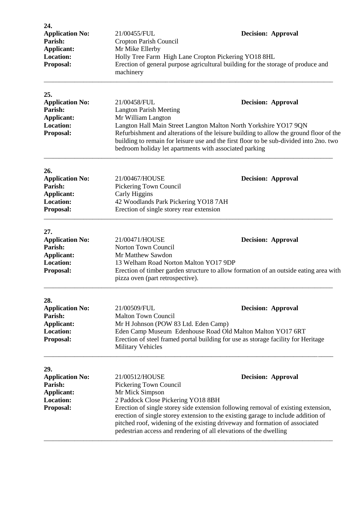| 24.<br><b>Application No:</b><br>Parish:<br><b>Applicant:</b><br><b>Location:</b><br>Proposal: | 21/00455/FUL<br>Cropton Parish Council<br>Mr Mike Ellerby<br>Holly Tree Farm High Lane Cropton Pickering YO18 8HL<br>machinery                                                                                                                                                                 | <b>Decision: Approval</b><br>Erection of general purpose agricultural building for the storage of produce and                                                                                                                                                                                                                                                                                 |  |
|------------------------------------------------------------------------------------------------|------------------------------------------------------------------------------------------------------------------------------------------------------------------------------------------------------------------------------------------------------------------------------------------------|-----------------------------------------------------------------------------------------------------------------------------------------------------------------------------------------------------------------------------------------------------------------------------------------------------------------------------------------------------------------------------------------------|--|
| 25.<br><b>Application No:</b><br>Parish:<br><b>Applicant:</b><br><b>Location:</b><br>Proposal: | 21/00458/FUL<br><b>Langton Parish Meeting</b><br>Mr William Langton<br>bedroom holiday let apartments with associated parking                                                                                                                                                                  | <b>Decision: Approval</b><br>Langton Hall Main Street Langton Malton North Yorkshire YO17 9QN<br>Refurbishment and alterations of the leisure building to allow the ground floor of the<br>building to remain for leisure use and the first floor to be sub-divided into 2no. two                                                                                                             |  |
| 26.<br><b>Application No:</b><br>Parish:<br><b>Applicant:</b><br><b>Location:</b><br>Proposal: | 21/00467/HOUSE<br><b>Decision: Approval</b><br>Pickering Town Council<br>Carly Higgins<br>42 Woodlands Park Pickering YO18 7AH<br>Erection of single storey rear extension                                                                                                                     |                                                                                                                                                                                                                                                                                                                                                                                               |  |
| 27.<br><b>Application No:</b><br>Parish:<br><b>Applicant:</b><br><b>Location:</b><br>Proposal: | 21/00471/HOUSE<br>Norton Town Council<br>Mr Matthew Sawdon<br>13 Welham Road Norton Malton YO17 9DP<br>pizza oven (part retrospective).                                                                                                                                                        | <b>Decision: Approval</b><br>Erection of timber garden structure to allow formation of an outside eating area with                                                                                                                                                                                                                                                                            |  |
| 28.<br><b>Application No:</b><br>Parish:<br>Applicant:<br><b>Location:</b><br>Proposal:        | 21/00509/FUL<br><b>Decision: Approval</b><br><b>Malton Town Council</b><br>Mr H Johnson (POW 83 Ltd. Eden Camp)<br>Eden Camp Museum Edenhouse Road Old Malton Malton YO17 6RT<br>Erection of steel framed portal building for use as storage facility for Heritage<br><b>Military Vehicles</b> |                                                                                                                                                                                                                                                                                                                                                                                               |  |
| 29.<br><b>Application No:</b><br>Parish:<br>Applicant:<br><b>Location:</b><br>Proposal:        | 21/00512/HOUSE<br>Pickering Town Council<br>Mr Mick Simpson                                                                                                                                                                                                                                    | <b>Decision: Approval</b><br>2 Paddock Close Pickering YO18 8BH<br>Erection of single storey side extension following removal of existing extension,<br>erection of single storey extension to the existing garage to include addition of<br>pitched roof, widening of the existing driveway and formation of associated<br>pedestrian access and rendering of all elevations of the dwelling |  |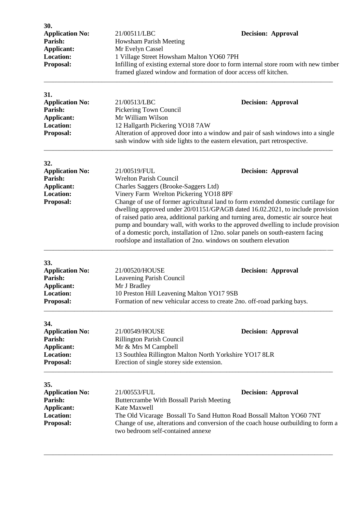| 30.<br><b>Application No:</b><br>Parish:<br>Applicant:<br><b>Location:</b><br>Proposal:        | 21/00511/LBC<br><b>Howsham Parish Meeting</b><br>Mr Evelyn Cassel<br>1 Village Street Howsham Malton YO60 7PH<br>framed glazed window and formation of door access off kitchen.                                                                                                                                                                                                                                                                                                                                                                                                                                                                                      | <b>Decision: Approval</b><br>Infilling of existing external store door to form internal store room with new timber                                                                          |  |
|------------------------------------------------------------------------------------------------|----------------------------------------------------------------------------------------------------------------------------------------------------------------------------------------------------------------------------------------------------------------------------------------------------------------------------------------------------------------------------------------------------------------------------------------------------------------------------------------------------------------------------------------------------------------------------------------------------------------------------------------------------------------------|---------------------------------------------------------------------------------------------------------------------------------------------------------------------------------------------|--|
| 31.<br><b>Application No:</b><br>Parish:<br><b>Applicant:</b><br><b>Location:</b><br>Proposal: | 21/00513/LBC<br>Pickering Town Council<br>Mr William Wilson<br>12 Hallgarth Pickering YO18 7AW                                                                                                                                                                                                                                                                                                                                                                                                                                                                                                                                                                       | <b>Decision: Approval</b><br>Alteration of approved door into a window and pair of sash windows into a single<br>sash window with side lights to the eastern elevation, part retrospective. |  |
| 32.<br><b>Application No:</b><br>Parish:<br><b>Applicant:</b><br><b>Location:</b><br>Proposal: | 21/00519/FUL<br><b>Decision: Approval</b><br><b>Wrelton Parish Council</b><br>Charles Saggers (Brooke-Saggers Ltd)<br>Vinery Farm Wrelton Pickering YO18 8PF<br>Change of use of former agricultural land to form extended domestic curtilage for<br>dwelling approved under 20/01151/GPAGB dated 16.02.2021, to include provision<br>of raised patio area, additional parking and turning area, domestic air source heat<br>pump and boundary wall, with works to the approved dwelling to include provision<br>of a domestic porch, installation of 12no. solar panels on south-eastern facing<br>roofslope and installation of 2no. windows on southern elevation |                                                                                                                                                                                             |  |
| 33.<br><b>Application No:</b><br>Parish:<br><b>Applicant:</b><br>Location:<br>Proposal:        | 21/00520/HOUSE<br>Leavening Parish Council<br>Mr J Bradley<br>10 Preston Hill Leavening Malton YO17 9SB                                                                                                                                                                                                                                                                                                                                                                                                                                                                                                                                                              | <b>Decision: Approval</b><br>Formation of new vehicular access to create 2no. off-road parking bays.                                                                                        |  |
| 34.<br><b>Application No:</b><br>Parish:<br>Applicant:<br><b>Location:</b><br>Proposal:        | 21/00549/HOUSE<br><b>Decision: Approval</b><br><b>Rillington Parish Council</b><br>Mr & Mrs M Campbell<br>13 Southlea Rillington Malton North Yorkshire YO17 8LR<br>Erection of single storey side extension.                                                                                                                                                                                                                                                                                                                                                                                                                                                        |                                                                                                                                                                                             |  |
| 35.<br><b>Application No:</b><br>Parish:<br><b>Applicant:</b><br><b>Location:</b><br>Proposal: | 21/00553/FUL<br>Buttercrambe With Bossall Parish Meeting<br>Kate Maxwell<br>two bedroom self-contained annexe                                                                                                                                                                                                                                                                                                                                                                                                                                                                                                                                                        | <b>Decision: Approval</b><br>The Old Vicarage Bossall To Sand Hutton Road Bossall Malton YO60 7NT<br>Change of use, alterations and conversion of the coach house outbuilding to form a     |  |

\_\_\_\_\_\_\_\_\_\_\_\_\_\_\_\_\_\_\_\_\_\_\_\_\_\_\_\_\_\_\_\_\_\_\_\_\_\_\_\_\_\_\_\_\_\_\_\_\_\_\_\_\_\_\_\_\_\_\_\_\_\_\_\_\_\_\_\_\_\_\_\_\_\_\_\_\_\_\_\_\_\_\_\_\_\_\_\_\_\_\_\_\_\_\_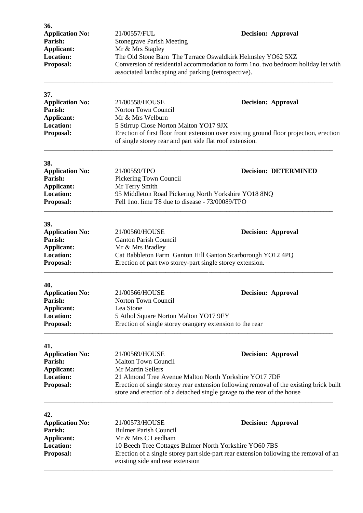| 36.<br><b>Application No:</b><br>Parish:<br><b>Applicant:</b><br><b>Location:</b><br>Proposal: | 21/00557/FUL<br><b>Stonegrave Parish Meeting</b><br>Mr & Mrs Stapley<br>The Old Stone Barn The Terrace Oswaldkirk Helmsley YO62 5XZ<br>Conversion of residential accommodation to form 1no. two bedroom holiday let with<br>associated landscaping and parking (retrospective). |  | <b>Decision: Approval</b>   |
|------------------------------------------------------------------------------------------------|---------------------------------------------------------------------------------------------------------------------------------------------------------------------------------------------------------------------------------------------------------------------------------|--|-----------------------------|
| 37.                                                                                            |                                                                                                                                                                                                                                                                                 |  |                             |
| <b>Application No:</b><br>Parish:                                                              | 21/00558/HOUSE<br>Norton Town Council                                                                                                                                                                                                                                           |  | <b>Decision: Approval</b>   |
| <b>Applicant:</b>                                                                              | Mr & Mrs Welburn                                                                                                                                                                                                                                                                |  |                             |
| <b>Location:</b>                                                                               | 5 Stirrup Close Norton Malton YO17 9JX                                                                                                                                                                                                                                          |  |                             |
| Proposal:                                                                                      | Erection of first floor front extension over existing ground floor projection, erection<br>of single storey rear and part side flat roof extension.                                                                                                                             |  |                             |
| 38.                                                                                            |                                                                                                                                                                                                                                                                                 |  |                             |
| <b>Application No:</b>                                                                         | 21/00559/TPO                                                                                                                                                                                                                                                                    |  | <b>Decision: DETERMINED</b> |
| Parish:<br><b>Applicant:</b>                                                                   | Pickering Town Council<br>Mr Terry Smith                                                                                                                                                                                                                                        |  |                             |
| <b>Location:</b>                                                                               | 95 Middleton Road Pickering North Yorkshire YO18 8NQ                                                                                                                                                                                                                            |  |                             |
| Proposal:                                                                                      | Fell 1no. lime T8 due to disease - 73/00089/TPO                                                                                                                                                                                                                                 |  |                             |
| 39.                                                                                            |                                                                                                                                                                                                                                                                                 |  |                             |
| <b>Application No:</b>                                                                         | 21/00560/HOUSE                                                                                                                                                                                                                                                                  |  | <b>Decision: Approval</b>   |
| Parish:<br><b>Applicant:</b>                                                                   | <b>Ganton Parish Council</b><br>Mr & Mrs Bradley                                                                                                                                                                                                                                |  |                             |
| <b>Location:</b>                                                                               | Cat Babbleton Farm Ganton Hill Ganton Scarborough YO12 4PQ                                                                                                                                                                                                                      |  |                             |
| Proposal:                                                                                      | Erection of part two storey-part single storey extension.                                                                                                                                                                                                                       |  |                             |
| 40.                                                                                            |                                                                                                                                                                                                                                                                                 |  |                             |
| <b>Application No:</b>                                                                         | 21/00566/HOUSE                                                                                                                                                                                                                                                                  |  | <b>Decision: Approval</b>   |
| Parish:<br><b>Applicant:</b>                                                                   | Norton Town Council<br>Lea Stone                                                                                                                                                                                                                                                |  |                             |
| <b>Location:</b>                                                                               | 5 Athol Square Norton Malton YO17 9EY                                                                                                                                                                                                                                           |  |                             |
| Proposal:                                                                                      | Erection of single storey orangery extension to the rear                                                                                                                                                                                                                        |  |                             |
| 41.                                                                                            |                                                                                                                                                                                                                                                                                 |  |                             |
| <b>Application No:</b>                                                                         | 21/00569/HOUSE                                                                                                                                                                                                                                                                  |  | <b>Decision: Approval</b>   |
| Parish:<br><b>Applicant:</b>                                                                   | <b>Malton Town Council</b><br>Mr Martin Sellers                                                                                                                                                                                                                                 |  |                             |
| <b>Location:</b>                                                                               | 21 Almond Tree Avenue Malton North Yorkshire YO17 7DF                                                                                                                                                                                                                           |  |                             |
| Proposal:                                                                                      | Erection of single storey rear extension following removal of the existing brick built<br>store and erection of a detached single garage to the rear of the house                                                                                                               |  |                             |
| 42.                                                                                            |                                                                                                                                                                                                                                                                                 |  |                             |
| <b>Application No:</b>                                                                         | 21/00573/HOUSE                                                                                                                                                                                                                                                                  |  | <b>Decision: Approval</b>   |
| Parish:                                                                                        | <b>Bulmer Parish Council</b>                                                                                                                                                                                                                                                    |  |                             |
| Applicant:<br><b>Location:</b>                                                                 | Mr & Mrs C Leedham                                                                                                                                                                                                                                                              |  |                             |
| Proposal:                                                                                      | 10 Beech Tree Cottages Bulmer North Yorkshire YO60 7BS<br>Erection of a single storey part side-part rear extension following the removal of an<br>existing side and rear extension                                                                                             |  |                             |